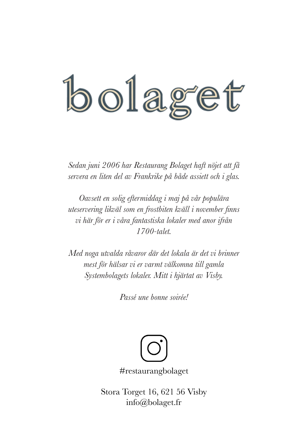# bolaget

*Sedan juni 2006 har Restaurang Bolaget haft nöjet att få servera en liten del av Frankrike på både assiett och i glas.*

*Oavsett en solig eftermiddag i maj på vår populära uteservering likväl som en frostbiten kväll i november finns vi här för er i våra fantastiska lokaler med anor ifrån 1700-talet.* 

*Med noga utvalda råvaror där det lokala är det vi brinner mest för hälsar vi er varmt välkomna till gamla Systembolagets lokaler. Mitt i hjärtat av Visby.* 

*Passé une bonne soirée!*



#restaurangbolaget

Stora Torget 16, 621 56 Visby info@bolaget.fr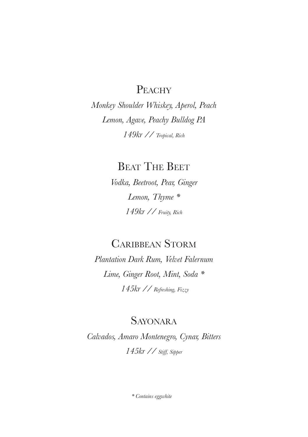#### PEACHY

*Monkey Shoulder Whiskey, Aperol, Peach Lemon, Agave, Peachy Bulldog PA 149kr // Tropical, Rich*

**BEAT THE BEET** 

*Vodka, Beetroot, Pear, Ginger Lemon, Thyme \* 149kr // Fruity, Rich*

#### Caribbean Storm

*Plantation Dark Rum, Velvet Falernum Lime, Ginger Root, Mint, Soda \* 145kr // Refreshing, Fizzy*

#### Sayonara

*Calvados, Amaro Montenegro, Cynar, Bitters 145kr // Stiff, Sipper*

*\* Contains eggwhite*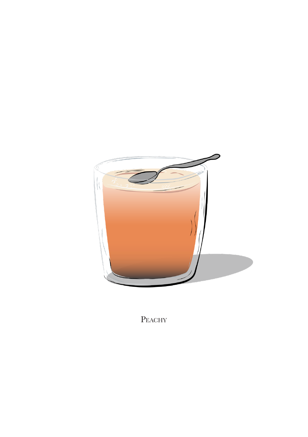

PEACHY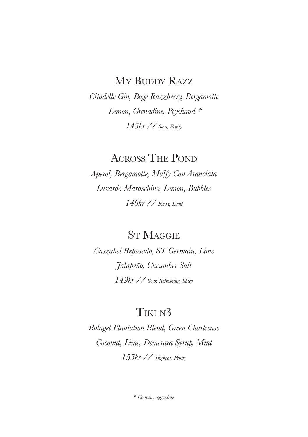#### My BUDDY RAZZ

*Citadelle Gin, Boge Razzberry, Bergamotte Lemon, Grenadine, Peychaud \* 145kr // Sour, Fruity*

ACROSS THE POND

*Aperol, Bergamotte, Malfy Con Aranciata Luxardo Maraschino, Lemon, Bubbles 140kr // Fizzy, Light*

**ST MAGGIE** 

*Caszabel Reposado, ST Germain, Lime Jalapeño, Cucumber Salt 149kr // Sour, Refreshing, Spicy*

#### Tiki n3

*Bolaget Plantation Blend, Green Chartreuse Coconut, Lime, Demerara Syrup, Mint 155kr // Tropical, Fruity*

*\* Contains eggwhite*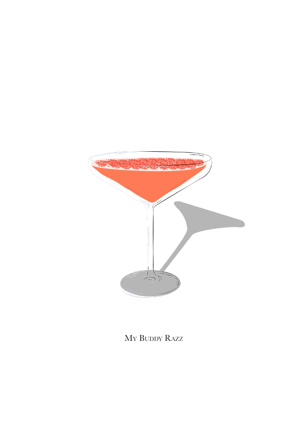

My Buddy Razz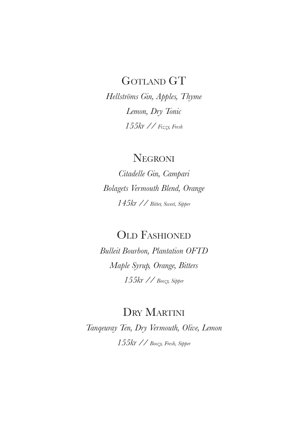#### GOTLAND GT

*Hellströms Gin, Apples, Thyme Lemon, Dry Tonic 155kr // Fizzy, Fresh*

#### **NEGRONI**

*Citadelle Gin, Campari Bolagets Vermouth Blend, Orange 145kr // Bitter, Sweet, Sipper*

OLD FASHIONED

*Bulleit Bourbon, Plantation OFTD Maple Syrup, Orange, Bitters 155kr // Boozy, Sipper*

#### DRY MARTINI

*Tanqeuray Ten, Dry Vermouth, Olive, Lemon 155kr // Boozy, Fresh, Sipper*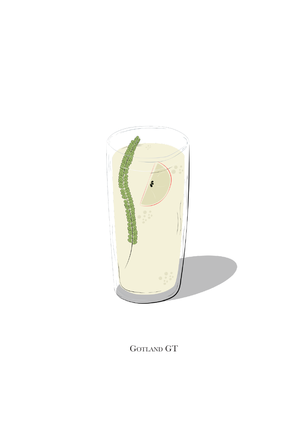

 $\mbox{GOTLAND}$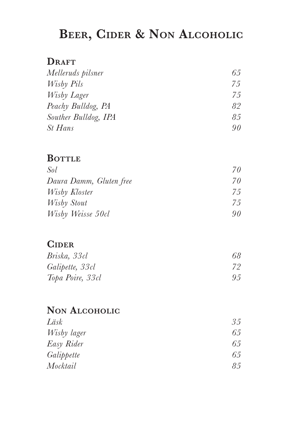# **Beer, Cider & Non Alcoholic**

#### DRAFT

| Melleruds pilsner    | 65  |
|----------------------|-----|
| Wisby Pils           | 75  |
| Wisby Lager          | 7.5 |
| Peachy Bulldog, PA   | 82  |
| Souther Bulldog, IPA | 85  |
| St Hans              | 90  |

#### **BOTTLE**

| Sol                     | 70  |
|-------------------------|-----|
| Daura Damm, Gluten free | 70  |
| Wisby Kloster           | 7.5 |
| Wisby Stout             | 75  |
| Wisby Weisse 50cl       | 90. |

#### **Cider**

| Briska, 33cl     | 68 |
|------------------|----|
| Galipette, 33cl  | 72 |
| Topa Poire, 33cl | 95 |

#### **Non Alcoholic**

| 35 |
|----|
| 65 |
| 65 |
| 65 |
| 85 |
|    |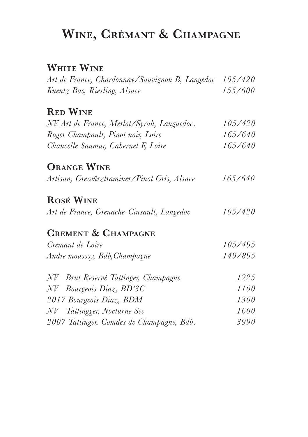# **Wine, Crèmant & Champagne**

#### **White Wine**

| Art de France, Chardonnay/Sauvignon B, Langedoc 105/420 |         |
|---------------------------------------------------------|---------|
| Kuentz Bas, Riesling, Alsace                            | 155/600 |
| <b>RED WINE</b>                                         |         |
| NV Art de France, Merlot/Syrah, Languedoc.              | 105/420 |
| Roger Champault, Pinot noir, Loire                      | 165/640 |
| Chancelle Saumur, Cabernet F, Loire                     | 165/640 |
| <b>ORANGE WINE</b>                                      |         |
| Artisan, Grewûrztraminer/Pinot Gris, Alsace             | 165/640 |
| <b>ROSÉ WINE</b>                                        |         |
| Art de France, Grenache-Cinsault, Langedoc              | 105/420 |
| <b>CREMENT &amp; CHAMPAGNE</b>                          |         |
| Cremant de Loire                                        | 105/495 |
| Andre mousssy, Bdb, Champagne                           | 149/895 |
| NV Brut Reservé Tattinger, Champagne                    | 1225    |
| NV Bourgeois Diaz, BD'3C                                | 1100    |
| 2017 Bourgeois Diaz, BDM                                | 1300    |
| NV Tattingger, Nocturne Sec                             | 1600    |
| 2007 Tattinger, Comdes de Champagne, Bdb.               | 3990    |
|                                                         |         |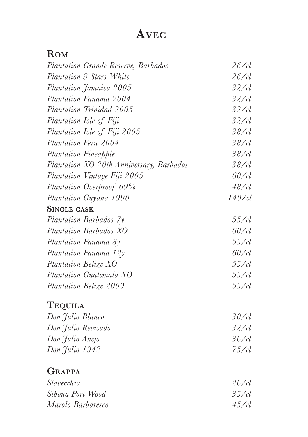# **Avec**

## **Rom**

| Plantation Grande Reserve, Barbados      | $26$ / $cl$  |
|------------------------------------------|--------------|
| Plantation 3 Stars White                 | $26$ / $cl$  |
| Plantation Jamaica 2005                  | $32$ / $cl$  |
| Plantation Panama 2004                   | $32$ / $cl$  |
| Plantation Trinidad 2005                 | $32$ / $cl$  |
| Plantation Isle of Fiji                  | $32$ / $cl$  |
| Plantation Isle of Fiji 2005             | $38$ / $cl$  |
| Plantation Peru 2004                     | $38/$ cl     |
| Plantation Pineapple                     | $38$ / $cl$  |
| Plantation XO 20th Anniversary, Barbados | $38$ / $cl$  |
| Plantation Vintage Fiji 2005             | $60$ / $cl$  |
| Plantation Overproof 69%                 | $48$ / $cl$  |
| Plantation Guyana 1990                   | $140$ / $cl$ |
| <b>SINGLE CASK</b>                       |              |
| Plantation Barbados 7y                   | $55/$ cl     |
| Plantation Barbados XO                   | $60$ / $cl$  |
| Plantation Panama 8y                     | 55/cl        |
| Plantation Panama 12y                    | $60$ / $cl$  |
| Plantation Belize XO                     | 55/cl        |
| Plantation Guatemala XO                  | $55/$ cl     |
| Plantation Belize 2009                   | $55/$ cl     |
| <b>TEQUILA</b>                           |              |
| Don Julio Blanco                         | $30$ /cl     |
| Don Julio Reoisado                       | $32$ / $cl$  |
| Don Julio Anejo                          | $36/$ cl     |
| Don Julio 1942                           | $75/$ cl     |
| <b>GRAPPA</b>                            |              |
| Stavecchia                               | $26/$ cl     |
| Sibona Port Wood                         | $35/$ cl     |
| Marolo Barbaresco                        | $45/$ cl     |
|                                          |              |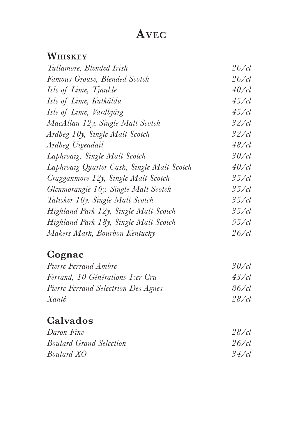# **Avec**

## **Whiskey**

| Tullamore, Blended Irish                   | $26/$ cl    |
|--------------------------------------------|-------------|
| Famous Grouse, Blended Scotch              | $26/$ cl    |
| Isle of Lime, Tjaukle                      | $40$ / $cl$ |
| Isle of Lime, Kutkäldu                     | 45/cl       |
| Isle of Lime, Vardbjärg                    | $45/$ cl    |
| MacAllan 12y, Single Malt Scotch           | $32$ /cl    |
| Ardbeg 10y, Single Malt Scotch             | $32$ /cl    |
| Ardbeg Uigeadail                           | 48/cl       |
| Laphroaig, Single Malt Scotch              | $30$ /cl    |
| Laphroaig Quarter Cask, Single Malt Scotch | $40$ /cl    |
| Cragganmore 12y, Single Malt Scotch        | $35/$ cl    |
| Glenmorangie 10y. Single Malt Scotch       | 35/cl       |
| Talisker 10y, Single Malt Scotch           | $35/$ cl    |
| Highland Park 12y, Single Malt Scotch      | $35/$ cl    |
| Highland Park 18y, Single Malt Scotch      | 55/cl       |
| Makers Mark, Bourbon Kentucky              | $26/$ cl    |

## **Cognac**

| Pierre Ferrand Ambre                | 30/d     |
|-------------------------------------|----------|
| Ferrand, 10 Générations 1:er Cru    | 43/cl    |
| Pierre Ferrand Selectrion Des Agnes | $86/$ cl |
| Xanté                               | $28$ /cl |

## **Calvados**

| Daron Fine                     | $28$ /cl  |
|--------------------------------|-----------|
| <b>Boulard Grand Selection</b> | $26$ /cl  |
| Boulard XO                     | $34$ / cl |